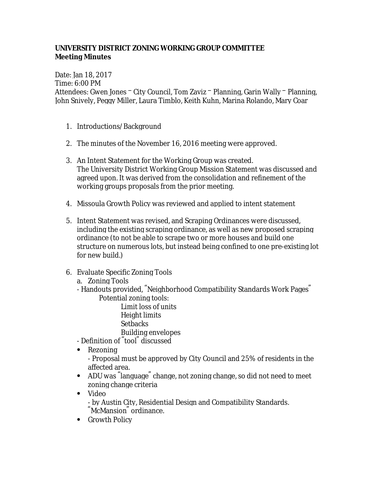## **UNIVERSITY DISTRICT ZONING WORKING GROUP COMMITTEE Meeting Minutes**

Date: Jan 18, 2017 Time: 6:00 PM Attendees: Gwen Jones – City Council, Tom Zaviz – Planning, Garin Wally – Planning, John Snively, Peggy Miller, Laura Timblo, Keith Kuhn, Marina Rolando, Mary Coar

- 1. Introductions/Background
- 2. The minutes of the November 16, 2016 meeting were approved.
- 3. An Intent Statement for the Working Group was created. The University District Working Group Mission Statement was discussed and agreed upon. It was derived from the consolidation and refinement of the working groups proposals from the prior meeting.
- 4. Missoula Growth Policy was reviewed and applied to intent statement
- 5. Intent Statement was revised, and Scraping Ordinances were discussed, including the existing scraping ordinance, as well as new proposed scraping ordinance (to not be able to scrape two or more houses and build one structure on numerous lots, but instead being confined to one pre-existing lot for new build.)
- 6. Evaluate Specific Zoning Tools

a. Zoning Tools

- Handouts provided, "Neighborhood Compatibility Standards Work Pages" Potential zoning tools:

Limit loss of units Height limits Setbacks Building envelopes

- Definition of "tool" discussed
- Rezoning

- Proposal must be approved by City Council and 25% of residents in the affected area.

- ADU was "language" change, not zoning change, so did not need to meet zoning change criteria
- Video - by Austin City, Residential Design and Compatibility Standards. "McMansion" ordinance.
- Growth Policy